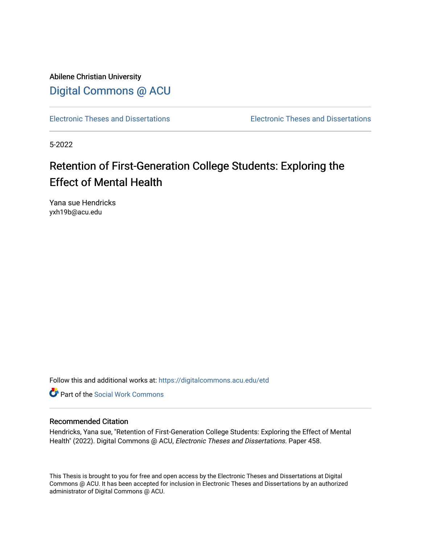Abilene Christian University [Digital Commons @ ACU](https://digitalcommons.acu.edu/)

[Electronic Theses and Dissertations](https://digitalcommons.acu.edu/etd) [Electronic Theses and Dissertations](https://digitalcommons.acu.edu/graduate_works) 

5-2022

# Retention of First-Generation College Students: Exploring the Effect of Mental Health

Yana sue Hendricks yxh19b@acu.edu

Follow this and additional works at: [https://digitalcommons.acu.edu/etd](https://digitalcommons.acu.edu/etd?utm_source=digitalcommons.acu.edu%2Fetd%2F458&utm_medium=PDF&utm_campaign=PDFCoverPages) 

**C** Part of the [Social Work Commons](http://network.bepress.com/hgg/discipline/713?utm_source=digitalcommons.acu.edu%2Fetd%2F458&utm_medium=PDF&utm_campaign=PDFCoverPages)

#### Recommended Citation

Hendricks, Yana sue, "Retention of First-Generation College Students: Exploring the Effect of Mental Health" (2022). Digital Commons @ ACU, Electronic Theses and Dissertations. Paper 458.

This Thesis is brought to you for free and open access by the Electronic Theses and Dissertations at Digital Commons @ ACU. It has been accepted for inclusion in Electronic Theses and Dissertations by an authorized administrator of Digital Commons @ ACU.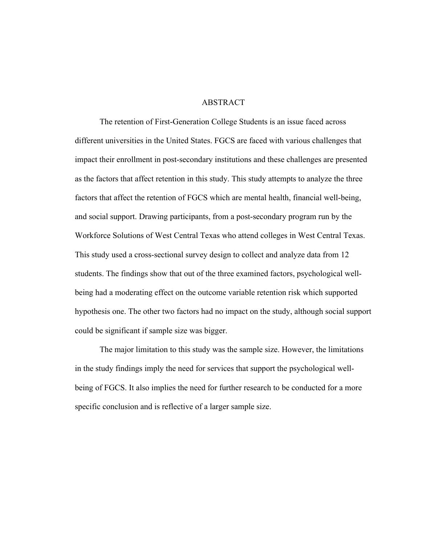### ABSTRACT

The retention of First-Generation College Students is an issue faced across different universities in the United States. FGCS are faced with various challenges that impact their enrollment in post-secondary institutions and these challenges are presented as the factors that affect retention in this study. This study attempts to analyze the three factors that affect the retention of FGCS which are mental health, financial well-being, and social support. Drawing participants, from a post-secondary program run by the Workforce Solutions of West Central Texas who attend colleges in West Central Texas. This study used a cross-sectional survey design to collect and analyze data from 12 students. The findings show that out of the three examined factors, psychological wellbeing had a moderating effect on the outcome variable retention risk which supported hypothesis one. The other two factors had no impact on the study, although social support could be significant if sample size was bigger.

The major limitation to this study was the sample size. However, the limitations in the study findings imply the need for services that support the psychological wellbeing of FGCS. It also implies the need for further research to be conducted for a more specific conclusion and is reflective of a larger sample size.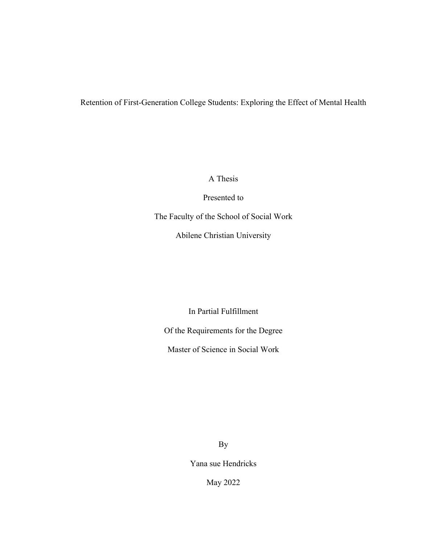# Retention of First-Generation College Students: Exploring the Effect of Mental Health

A Thesis

Presented to

The Faculty of the School of Social Work

Abilene Christian University

In Partial Fulfillment

Of the Requirements for the Degree

Master of Science in Social Work

By

Yana sue Hendricks

May 2022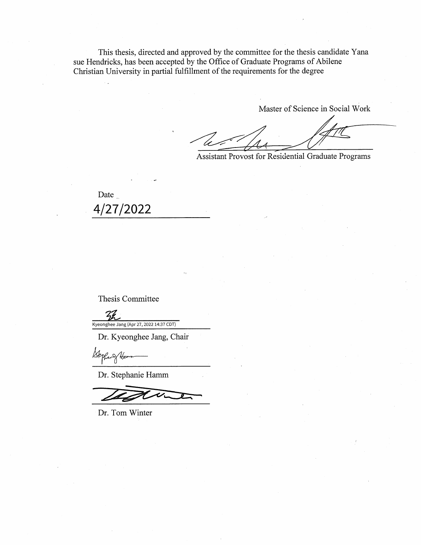This thesis, directed and approved by the committee for the thesis candidate Yana sue Hendricks, has been accepted by the Office of Graduate Programs of Abilene Christian University in partial fulfillment of the requirements for the degree

Master of Science in Social Work

Assistant Provost for Residential Graduate Programs

Date 4/27/2022

Thesis Committee

 $Z$ Kyeonghee Jang (Apr 27, 2022 14:37 CDT)

Dr. Kyeonghee Jang, Chair

Bephar of Ha

Dr. Stephanie Hamm

Dr. Tom Winter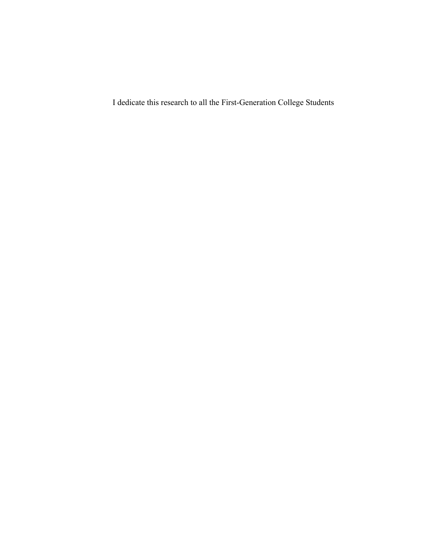I dedicate this research to all the First-Generation College Students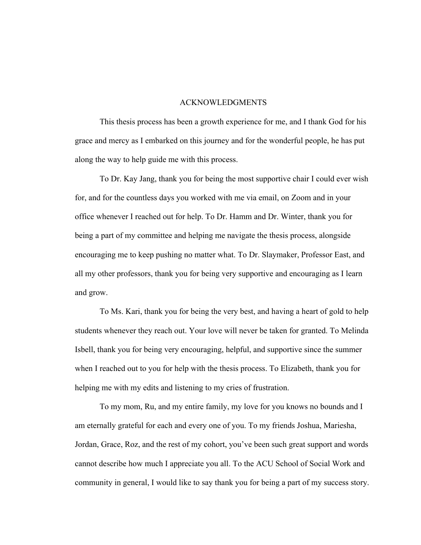#### ACKNOWLEDGMENTS

This thesis process has been a growth experience for me, and I thank God for his grace and mercy as I embarked on this journey and for the wonderful people, he has put along the way to help guide me with this process.

To Dr. Kay Jang, thank you for being the most supportive chair I could ever wish for, and for the countless days you worked with me via email, on Zoom and in your office whenever I reached out for help. To Dr. Hamm and Dr. Winter, thank you for being a part of my committee and helping me navigate the thesis process, alongside encouraging me to keep pushing no matter what. To Dr. Slaymaker, Professor East, and all my other professors, thank you for being very supportive and encouraging as I learn and grow.

To Ms. Kari, thank you for being the very best, and having a heart of gold to help students whenever they reach out. Your love will never be taken for granted. To Melinda Isbell, thank you for being very encouraging, helpful, and supportive since the summer when I reached out to you for help with the thesis process. To Elizabeth, thank you for helping me with my edits and listening to my cries of frustration.

To my mom, Ru, and my entire family, my love for you knows no bounds and I am eternally grateful for each and every one of you. To my friends Joshua, Mariesha, Jordan, Grace, Roz, and the rest of my cohort, you've been such great support and words cannot describe how much I appreciate you all. To the ACU School of Social Work and community in general, I would like to say thank you for being a part of my success story.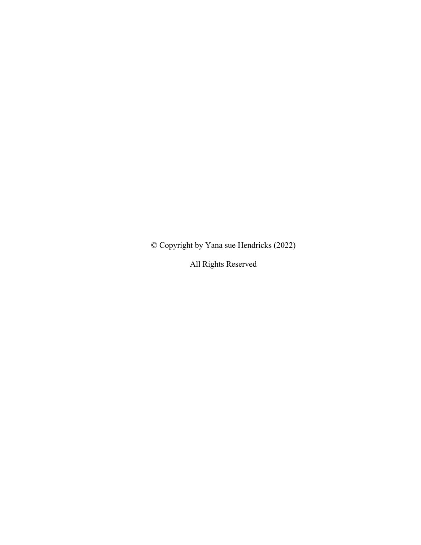© Copyright by Yana sue Hendricks (2022)

All Rights Reserved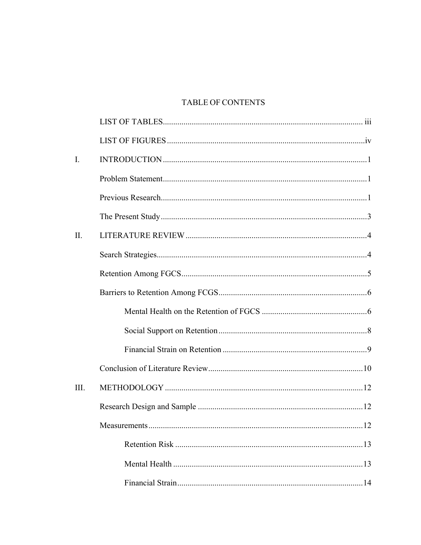# **TABLE OF CONTENTS**

| $\mathbf{I}$ . |     |
|----------------|-----|
|                |     |
|                |     |
|                |     |
| $\prod$ .      |     |
|                |     |
|                |     |
|                |     |
|                |     |
|                |     |
|                |     |
|                |     |
| III.           |     |
|                |     |
|                | .12 |
|                |     |
|                |     |
|                |     |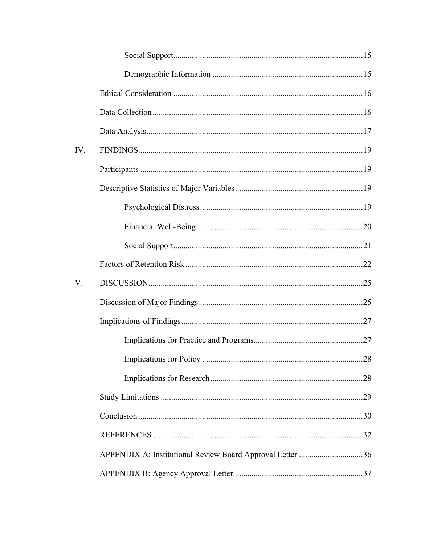| IV. |                                                           |  |
|-----|-----------------------------------------------------------|--|
|     |                                                           |  |
|     |                                                           |  |
|     |                                                           |  |
|     |                                                           |  |
|     |                                                           |  |
|     |                                                           |  |
| V.  |                                                           |  |
|     |                                                           |  |
|     |                                                           |  |
|     |                                                           |  |
|     |                                                           |  |
|     |                                                           |  |
|     |                                                           |  |
|     |                                                           |  |
|     |                                                           |  |
|     | APPENDIX A: Institutional Review Board Approval Letter 36 |  |
|     |                                                           |  |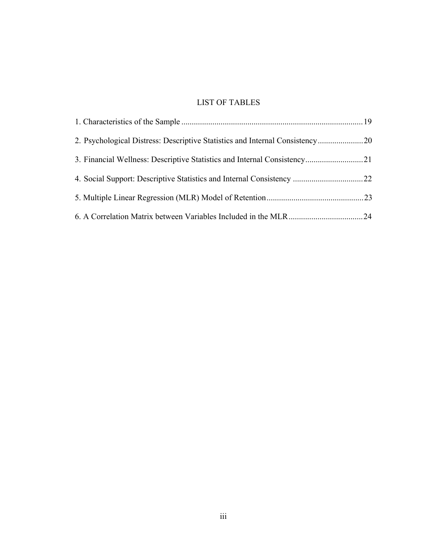# LIST OF TABLES

| 2. Psychological Distress: Descriptive Statistics and Internal Consistency20 |  |
|------------------------------------------------------------------------------|--|
| 3. Financial Wellness: Descriptive Statistics and Internal Consistency21     |  |
|                                                                              |  |
|                                                                              |  |
|                                                                              |  |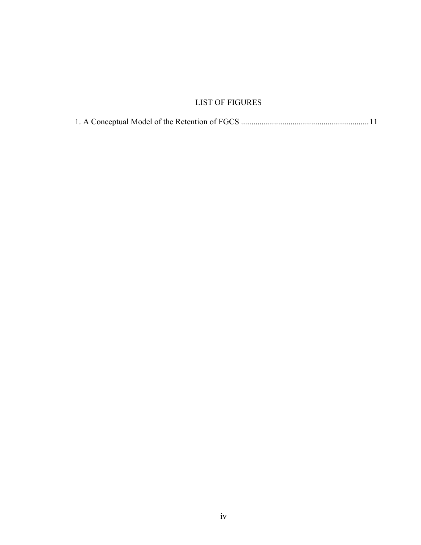# LIST OF FIGURES

|--|--|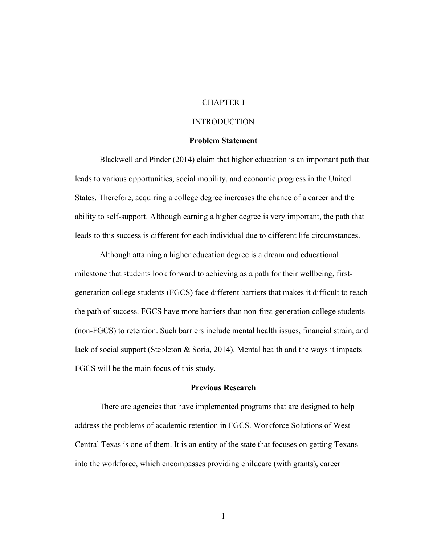### CHAPTER I

### **INTRODUCTION**

### **Problem Statement**

Blackwell and Pinder (2014) claim that higher education is an important path that leads to various opportunities, social mobility, and economic progress in the United States. Therefore, acquiring a college degree increases the chance of a career and the ability to self-support. Although earning a higher degree is very important, the path that leads to this success is different for each individual due to different life circumstances.

Although attaining a higher education degree is a dream and educational milestone that students look forward to achieving as a path for their wellbeing, firstgeneration college students (FGCS) face different barriers that makes it difficult to reach the path of success. FGCS have more barriers than non-first-generation college students (non-FGCS) to retention. Such barriers include mental health issues, financial strain, and lack of social support (Stebleton & Soria, 2014). Mental health and the ways it impacts FGCS will be the main focus of this study.

#### **Previous Research**

There are agencies that have implemented programs that are designed to help address the problems of academic retention in FGCS. Workforce Solutions of West Central Texas is one of them. It is an entity of the state that focuses on getting Texans into the workforce, which encompasses providing childcare (with grants), career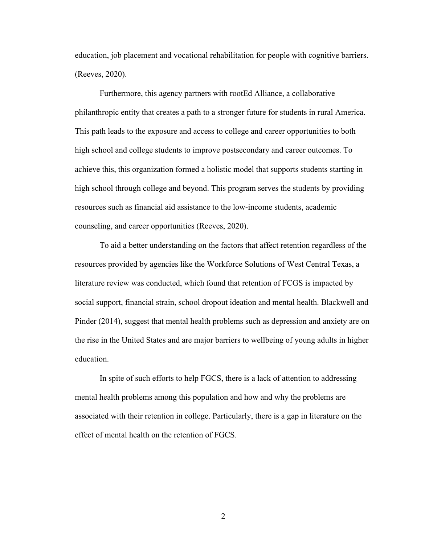education, job placement and vocational rehabilitation for people with cognitive barriers. (Reeves, 2020).

Furthermore, this agency partners with rootEd Alliance, a collaborative philanthropic entity that creates a path to a stronger future for students in rural America. This path leads to the exposure and access to college and career opportunities to both high school and college students to improve postsecondary and career outcomes. To achieve this, this organization formed a holistic model that supports students starting in high school through college and beyond. This program serves the students by providing resources such as financial aid assistance to the low-income students, academic counseling, and career opportunities (Reeves, 2020).

To aid a better understanding on the factors that affect retention regardless of the resources provided by agencies like the Workforce Solutions of West Central Texas, a literature review was conducted, which found that retention of FCGS is impacted by social support, financial strain, school dropout ideation and mental health. Blackwell and Pinder (2014), suggest that mental health problems such as depression and anxiety are on the rise in the United States and are major barriers to wellbeing of young adults in higher education.

In spite of such efforts to help FGCS, there is a lack of attention to addressing mental health problems among this population and how and why the problems are associated with their retention in college. Particularly, there is a gap in literature on the effect of mental health on the retention of FGCS.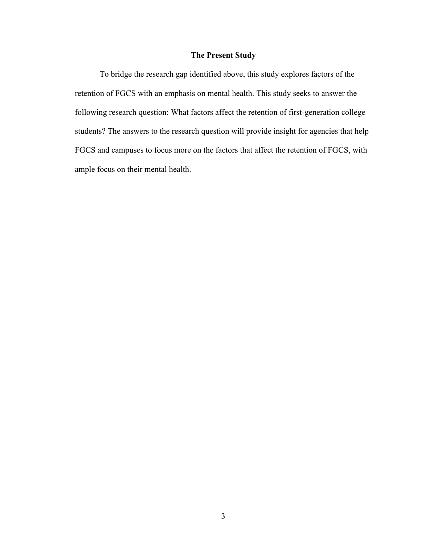### **The Present Study**

To bridge the research gap identified above, this study explores factors of the retention of FGCS with an emphasis on mental health. This study seeks to answer the following research question: What factors affect the retention of first-generation college students? The answers to the research question will provide insight for agencies that help FGCS and campuses to focus more on the factors that affect the retention of FGCS, with ample focus on their mental health.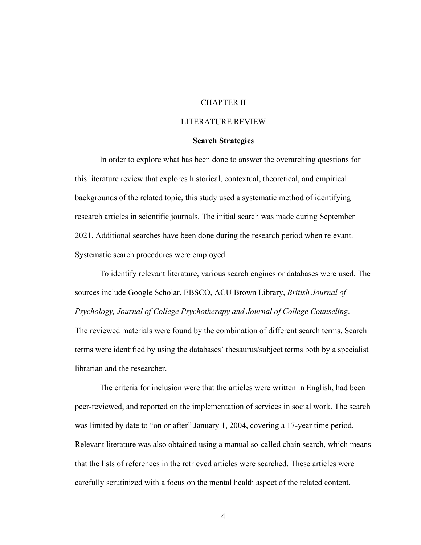### CHAPTER II

### LITERATURE REVIEW

#### **Search Strategies**

In order to explore what has been done to answer the overarching questions for this literature review that explores historical, contextual, theoretical, and empirical backgrounds of the related topic, this study used a systematic method of identifying research articles in scientific journals. The initial search was made during September 2021. Additional searches have been done during the research period when relevant. Systematic search procedures were employed.

To identify relevant literature, various search engines or databases were used. The sources include Google Scholar, EBSCO, ACU Brown Library, *British Journal of Psychology, Journal of College Psychotherapy and Journal of College Counseling*. The reviewed materials were found by the combination of different search terms. Search terms were identified by using the databases' thesaurus/subject terms both by a specialist librarian and the researcher.

The criteria for inclusion were that the articles were written in English, had been peer-reviewed, and reported on the implementation of services in social work. The search was limited by date to "on or after" January 1, 2004, covering a 17-year time period. Relevant literature was also obtained using a manual so-called chain search, which means that the lists of references in the retrieved articles were searched. These articles were carefully scrutinized with a focus on the mental health aspect of the related content.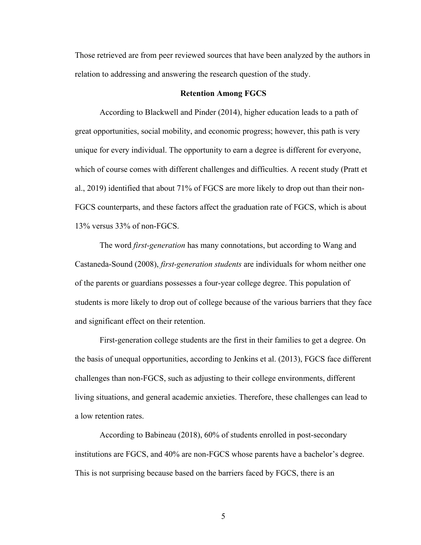Those retrieved are from peer reviewed sources that have been analyzed by the authors in relation to addressing and answering the research question of the study.

#### **Retention Among FGCS**

According to Blackwell and Pinder (2014), higher education leads to a path of great opportunities, social mobility, and economic progress; however, this path is very unique for every individual. The opportunity to earn a degree is different for everyone, which of course comes with different challenges and difficulties. A recent study (Pratt et al., 2019) identified that about 71% of FGCS are more likely to drop out than their non-FGCS counterparts, and these factors affect the graduation rate of FGCS, which is about 13% versus 33% of non-FGCS.

The word *first-generation* has many connotations, but according to Wang and Castaneda-Sound (2008), *first-generation students* are individuals for whom neither one of the parents or guardians possesses a four-year college degree. This population of students is more likely to drop out of college because of the various barriers that they face and significant effect on their retention.

First-generation college students are the first in their families to get a degree. On the basis of unequal opportunities, according to Jenkins et al. (2013), FGCS face different challenges than non-FGCS, such as adjusting to their college environments, different living situations, and general academic anxieties. Therefore, these challenges can lead to a low retention rates.

According to Babineau (2018), 60% of students enrolled in post-secondary institutions are FGCS, and 40% are non-FGCS whose parents have a bachelor's degree. This is not surprising because based on the barriers faced by FGCS, there is an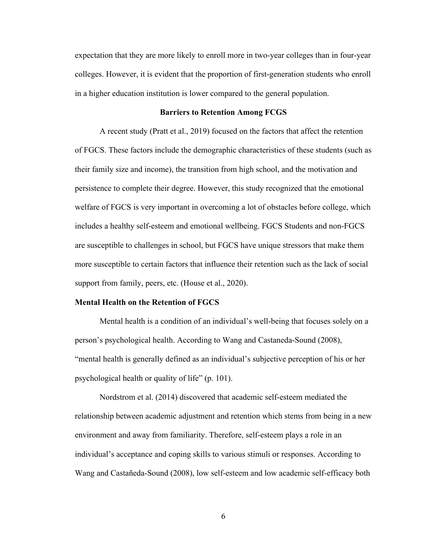expectation that they are more likely to enroll more in two-year colleges than in four-year colleges. However, it is evident that the proportion of first-generation students who enroll in a higher education institution is lower compared to the general population.

#### **Barriers to Retention Among FCGS**

A recent study (Pratt et al., 2019) focused on the factors that affect the retention of FGCS. These factors include the demographic characteristics of these students (such as their family size and income), the transition from high school, and the motivation and persistence to complete their degree. However, this study recognized that the emotional welfare of FGCS is very important in overcoming a lot of obstacles before college, which includes a healthy self-esteem and emotional wellbeing. FGCS Students and non-FGCS are susceptible to challenges in school, but FGCS have unique stressors that make them more susceptible to certain factors that influence their retention such as the lack of social support from family, peers, etc. (House et al., 2020).

#### **Mental Health on the Retention of FGCS**

Mental health is a condition of an individual's well-being that focuses solely on a person's psychological health. According to Wang and Castaneda-Sound (2008), "mental health is generally defined as an individual's subjective perception of his or her psychological health or quality of life" (p. 101).

Nordstrom et al. (2014) discovered that academic self-esteem mediated the relationship between academic adjustment and retention which stems from being in a new environment and away from familiarity. Therefore, self-esteem plays a role in an individual's acceptance and coping skills to various stimuli or responses. According to Wang and Castañeda-Sound (2008), low self-esteem and low academic self-efficacy both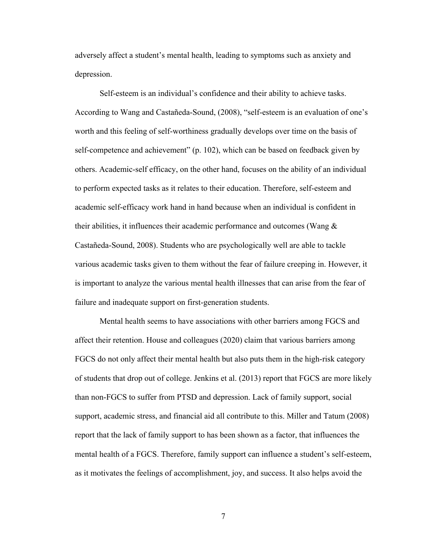adversely affect a student's mental health, leading to symptoms such as anxiety and depression.

Self-esteem is an individual's confidence and their ability to achieve tasks. According to Wang and Castañeda-Sound, (2008), "self-esteem is an evaluation of one's worth and this feeling of self-worthiness gradually develops over time on the basis of self-competence and achievement" (p. 102), which can be based on feedback given by others. Academic-self efficacy, on the other hand, focuses on the ability of an individual to perform expected tasks as it relates to their education. Therefore, self-esteem and academic self-efficacy work hand in hand because when an individual is confident in their abilities, it influences their academic performance and outcomes (Wang & Castañeda-Sound, 2008). Students who are psychologically well are able to tackle various academic tasks given to them without the fear of failure creeping in. However, it is important to analyze the various mental health illnesses that can arise from the fear of failure and inadequate support on first-generation students.

Mental health seems to have associations with other barriers among FGCS and affect their retention. House and colleagues (2020) claim that various barriers among FGCS do not only affect their mental health but also puts them in the high-risk category of students that drop out of college. Jenkins et al. (2013) report that FGCS are more likely than non-FGCS to suffer from PTSD and depression. Lack of family support, social support, academic stress, and financial aid all contribute to this. Miller and Tatum (2008) report that the lack of family support to has been shown as a factor, that influences the mental health of a FGCS. Therefore, family support can influence a student's self-esteem, as it motivates the feelings of accomplishment, joy, and success. It also helps avoid the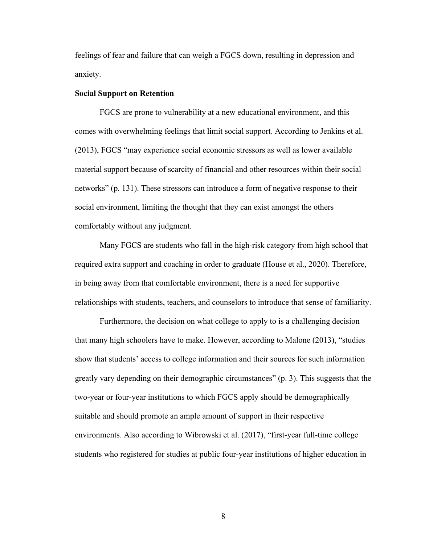feelings of fear and failure that can weigh a FGCS down, resulting in depression and anxiety.

#### **Social Support on Retention**

FGCS are prone to vulnerability at a new educational environment, and this comes with overwhelming feelings that limit social support. According to Jenkins et al. (2013), FGCS "may experience social economic stressors as well as lower available material support because of scarcity of financial and other resources within their social networks" (p. 131). These stressors can introduce a form of negative response to their social environment, limiting the thought that they can exist amongst the others comfortably without any judgment.

Many FGCS are students who fall in the high-risk category from high school that required extra support and coaching in order to graduate (House et al., 2020). Therefore, in being away from that comfortable environment, there is a need for supportive relationships with students, teachers, and counselors to introduce that sense of familiarity.

Furthermore, the decision on what college to apply to is a challenging decision that many high schoolers have to make. However, according to Malone (2013), "studies show that students' access to college information and their sources for such information greatly vary depending on their demographic circumstances" (p. 3). This suggests that the two-year or four-year institutions to which FGCS apply should be demographically suitable and should promote an ample amount of support in their respective environments. Also according to Wibrowski et al. (2017), "first-year full-time college students who registered for studies at public four-year institutions of higher education in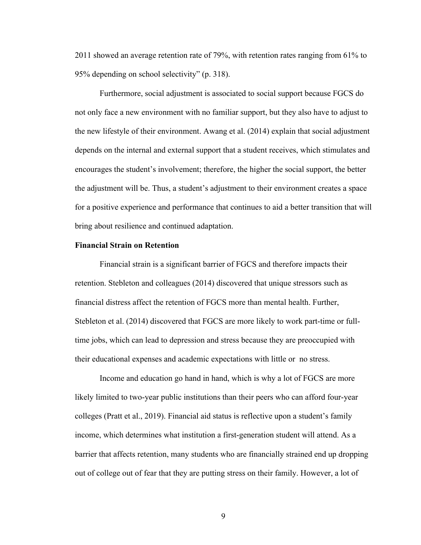2011 showed an average retention rate of 79%, with retention rates ranging from 61% to 95% depending on school selectivity" (p. 318).

Furthermore, social adjustment is associated to social support because FGCS do not only face a new environment with no familiar support, but they also have to adjust to the new lifestyle of their environment. Awang et al. (2014) explain that social adjustment depends on the internal and external support that a student receives, which stimulates and encourages the student's involvement; therefore, the higher the social support, the better the adjustment will be. Thus, a student's adjustment to their environment creates a space for a positive experience and performance that continues to aid a better transition that will bring about resilience and continued adaptation.

#### **Financial Strain on Retention**

Financial strain is a significant barrier of FGCS and therefore impacts their retention. Stebleton and colleagues (2014) discovered that unique stressors such as financial distress affect the retention of FGCS more than mental health. Further, Stebleton et al. (2014) discovered that FGCS are more likely to work part-time or fulltime jobs, which can lead to depression and stress because they are preoccupied with their educational expenses and academic expectations with little or no stress.

Income and education go hand in hand, which is why a lot of FGCS are more likely limited to two-year public institutions than their peers who can afford four-year colleges (Pratt et al., 2019). Financial aid status is reflective upon a student's family income, which determines what institution a first-generation student will attend. As a barrier that affects retention, many students who are financially strained end up dropping out of college out of fear that they are putting stress on their family. However, a lot of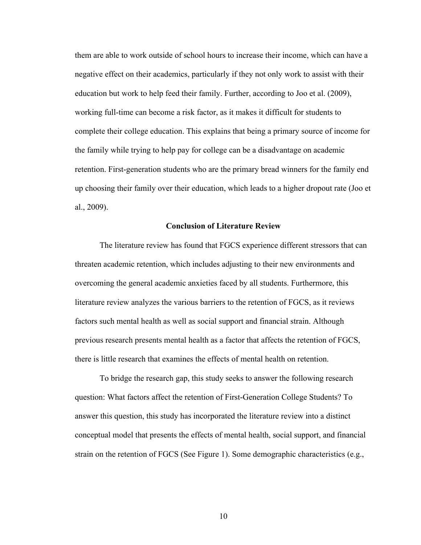them are able to work outside of school hours to increase their income, which can have a negative effect on their academics, particularly if they not only work to assist with their education but work to help feed their family. Further, according to Joo et al. (2009), working full-time can become a risk factor, as it makes it difficult for students to complete their college education. This explains that being a primary source of income for the family while trying to help pay for college can be a disadvantage on academic retention. First-generation students who are the primary bread winners for the family end up choosing their family over their education, which leads to a higher dropout rate (Joo et al., 2009).

#### **Conclusion of Literature Review**

The literature review has found that FGCS experience different stressors that can threaten academic retention, which includes adjusting to their new environments and overcoming the general academic anxieties faced by all students. Furthermore, this literature review analyzes the various barriers to the retention of FGCS, as it reviews factors such mental health as well as social support and financial strain. Although previous research presents mental health as a factor that affects the retention of FGCS, there is little research that examines the effects of mental health on retention.

To bridge the research gap, this study seeks to answer the following research question: What factors affect the retention of First-Generation College Students? To answer this question, this study has incorporated the literature review into a distinct conceptual model that presents the effects of mental health, social support, and financial strain on the retention of FGCS (See Figure 1). Some demographic characteristics (e.g.,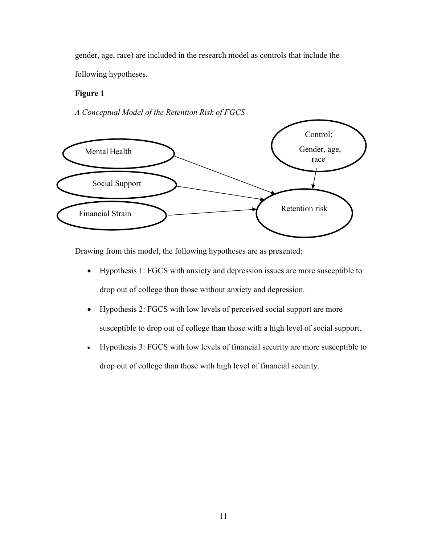gender, age, race) are included in the research model as controls that include the following hypotheses.

### **Figure 1**

*A Conceptual Model of the Retention Risk of FGCS*



Drawing from this model, the following hypotheses are as presented:

- Hypothesis 1: FGCS with anxiety and depression issues are more susceptible to drop out of college than those without anxiety and depression.
- Hypothesis 2: FGCS with low levels of perceived social support are more susceptible to drop out of college than those with a high level of social support.
- Hypothesis 3: FGCS with low levels of financial security are more susceptible to drop out of college than those with high level of financial security.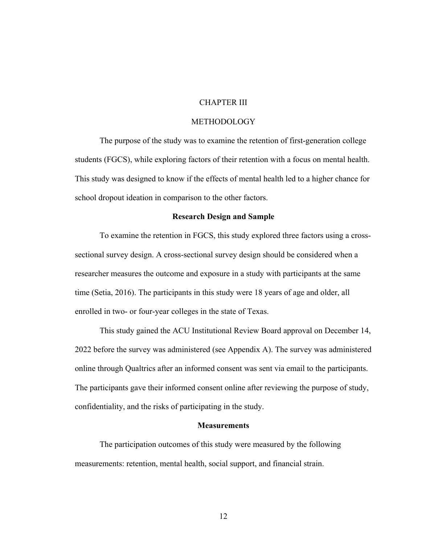### CHAPTER III

### METHODOLOGY

The purpose of the study was to examine the retention of first-generation college students (FGCS), while exploring factors of their retention with a focus on mental health. This study was designed to know if the effects of mental health led to a higher chance for school dropout ideation in comparison to the other factors.

#### **Research Design and Sample**

To examine the retention in FGCS, this study explored three factors using a crosssectional survey design. A cross-sectional survey design should be considered when a researcher measures the outcome and exposure in a study with participants at the same time (Setia, 2016). The participants in this study were 18 years of age and older, all enrolled in two- or four-year colleges in the state of Texas.

This study gained the ACU Institutional Review Board approval on December 14, 2022 before the survey was administered (see Appendix A). The survey was administered online through Qualtrics after an informed consent was sent via email to the participants. The participants gave their informed consent online after reviewing the purpose of study, confidentiality, and the risks of participating in the study.

### **Measurements**

The participation outcomes of this study were measured by the following measurements: retention, mental health, social support, and financial strain.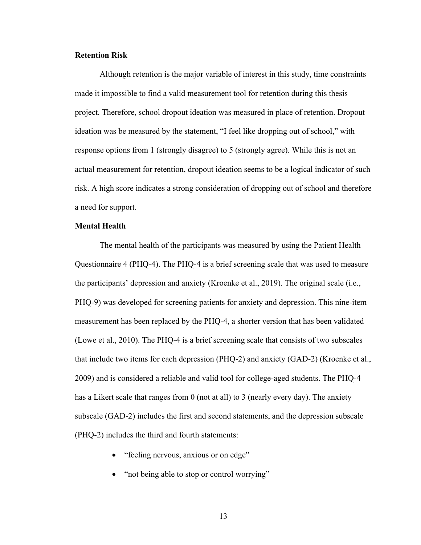### **Retention Risk**

Although retention is the major variable of interest in this study, time constraints made it impossible to find a valid measurement tool for retention during this thesis project. Therefore, school dropout ideation was measured in place of retention. Dropout ideation was be measured by the statement, "I feel like dropping out of school," with response options from 1 (strongly disagree) to 5 (strongly agree). While this is not an actual measurement for retention, dropout ideation seems to be a logical indicator of such risk. A high score indicates a strong consideration of dropping out of school and therefore a need for support.

### **Mental Health**

The mental health of the participants was measured by using the Patient Health Questionnaire 4 (PHQ-4). The PHQ-4 is a brief screening scale that was used to measure the participants' depression and anxiety (Kroenke et al., 2019). The original scale (i.e., PHQ-9) was developed for screening patients for anxiety and depression. This nine-item measurement has been replaced by the PHQ-4, a shorter version that has been validated (Lowe et al., 2010). The PHQ-4 is a brief screening scale that consists of two subscales that include two items for each depression (PHQ-2) and anxiety (GAD-2) (Kroenke et al., 2009) and is considered a reliable and valid tool for college-aged students. The PHQ-4 has a Likert scale that ranges from 0 (not at all) to 3 (nearly every day). The anxiety subscale (GAD-2) includes the first and second statements, and the depression subscale (PHQ-2) includes the third and fourth statements:

- "feeling nervous, anxious or on edge"
- "not being able to stop or control worrying"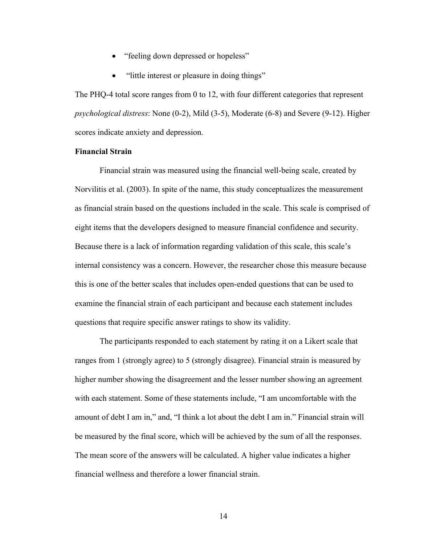- "feeling down depressed or hopeless"
- "little interest or pleasure in doing things"

The PHQ-4 total score ranges from 0 to 12, with four different categories that represent *psychological distress*: None (0-2), Mild (3-5), Moderate (6-8) and Severe (9-12). Higher scores indicate anxiety and depression.

### **Financial Strain**

Financial strain was measured using the financial well-being scale, created by Norvilitis et al. (2003). In spite of the name, this study conceptualizes the measurement as financial strain based on the questions included in the scale. This scale is comprised of eight items that the developers designed to measure financial confidence and security. Because there is a lack of information regarding validation of this scale, this scale's internal consistency was a concern. However, the researcher chose this measure because this is one of the better scales that includes open-ended questions that can be used to examine the financial strain of each participant and because each statement includes questions that require specific answer ratings to show its validity.

The participants responded to each statement by rating it on a Likert scale that ranges from 1 (strongly agree) to 5 (strongly disagree). Financial strain is measured by higher number showing the disagreement and the lesser number showing an agreement with each statement. Some of these statements include, "I am uncomfortable with the amount of debt I am in," and, "I think a lot about the debt I am in." Financial strain will be measured by the final score, which will be achieved by the sum of all the responses. The mean score of the answers will be calculated. A higher value indicates a higher financial wellness and therefore a lower financial strain.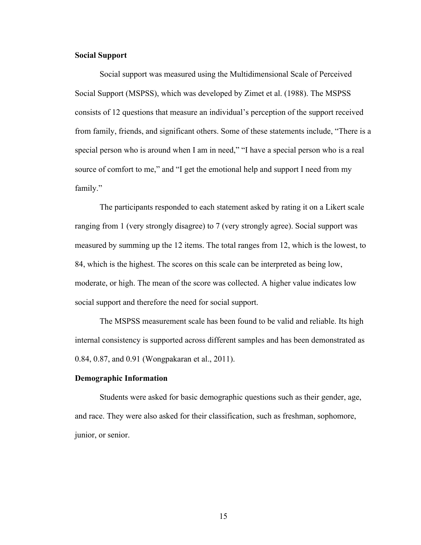### **Social Support**

Social support was measured using the Multidimensional Scale of Perceived Social Support (MSPSS), which was developed by Zimet et al. (1988). The MSPSS consists of 12 questions that measure an individual's perception of the support received from family, friends, and significant others. Some of these statements include, "There is a special person who is around when I am in need," "I have a special person who is a real source of comfort to me," and "I get the emotional help and support I need from my family."

The participants responded to each statement asked by rating it on a Likert scale ranging from 1 (very strongly disagree) to 7 (very strongly agree). Social support was measured by summing up the 12 items. The total ranges from 12, which is the lowest, to 84, which is the highest. The scores on this scale can be interpreted as being low, moderate, or high. The mean of the score was collected. A higher value indicates low social support and therefore the need for social support.

The MSPSS measurement scale has been found to be valid and reliable. Its high internal consistency is supported across different samples and has been demonstrated as 0.84, 0.87, and 0.91 (Wongpakaran et al., 2011).

### **Demographic Information**

Students were asked for basic demographic questions such as their gender, age, and race. They were also asked for their classification, such as freshman, sophomore, junior, or senior.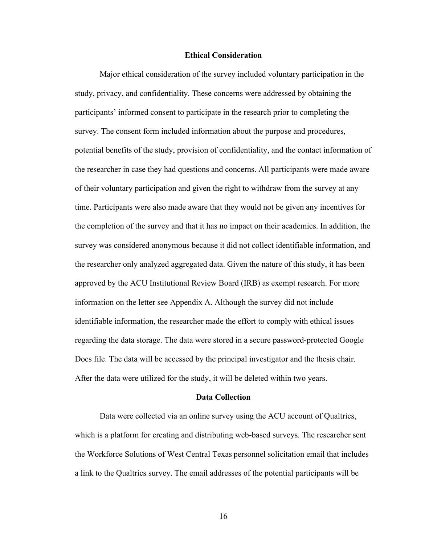#### **Ethical Consideration**

Major ethical consideration of the survey included voluntary participation in the study, privacy, and confidentiality. These concerns were addressed by obtaining the participants' informed consent to participate in the research prior to completing the survey. The consent form included information about the purpose and procedures, potential benefits of the study, provision of confidentiality, and the contact information of the researcher in case they had questions and concerns. All participants were made aware of their voluntary participation and given the right to withdraw from the survey at any time. Participants were also made aware that they would not be given any incentives for the completion of the survey and that it has no impact on their academics. In addition, the survey was considered anonymous because it did not collect identifiable information, and the researcher only analyzed aggregated data. Given the nature of this study, it has been approved by the ACU Institutional Review Board (IRB) as exempt research. For more information on the letter see Appendix A. Although the survey did not include identifiable information, the researcher made the effort to comply with ethical issues regarding the data storage. The data were stored in a secure password-protected Google Docs file. The data will be accessed by the principal investigator and the thesis chair. After the data were utilized for the study, it will be deleted within two years.

### **Data Collection**

Data were collected via an online survey using the ACU account of Qualtrics, which is a platform for creating and distributing web-based surveys. The researcher sent the Workforce Solutions of West Central Texas personnel solicitation email that includes a link to the Qualtrics survey. The email addresses of the potential participants will be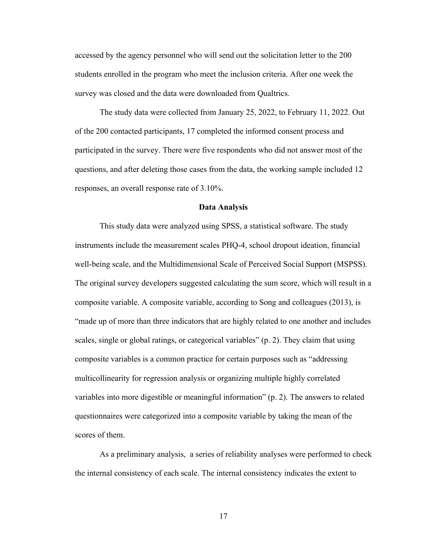accessed by the agency personnel who will send out the solicitation letter to the 200 students enrolled in the program who meet the inclusion criteria. After one week the survey was closed and the data were downloaded from Qualtrics.

The study data were collected from January 25, 2022, to February 11, 2022. Out of the 200 contacted participants, 17 completed the informed consent process and participated in the survey. There were five respondents who did not answer most of the questions, and after deleting those cases from the data, the working sample included 12 responses, an overall response rate of 3.10%.

#### **Data Analysis**

This study data were analyzed using SPSS, a statistical software. The study instruments include the measurement scales PHQ-4, school dropout ideation, financial well-being scale, and the Multidimensional Scale of Perceived Social Support (MSPSS). The original survey developers suggested calculating the sum score, which will result in a composite variable. A composite variable, according to Song and colleagues (2013), is "made up of more than three indicators that are highly related to one another and includes scales, single or global ratings, or categorical variables" (p. 2). They claim that using composite variables is a common practice for certain purposes such as "addressing multicollinearity for regression analysis or organizing multiple highly correlated variables into more digestible or meaningful information" (p. 2). The answers to related questionnaires were categorized into a composite variable by taking the mean of the scores of them.

As a preliminary analysis, a series of reliability analyses were performed to check the internal consistency of each scale. The internal consistency indicates the extent to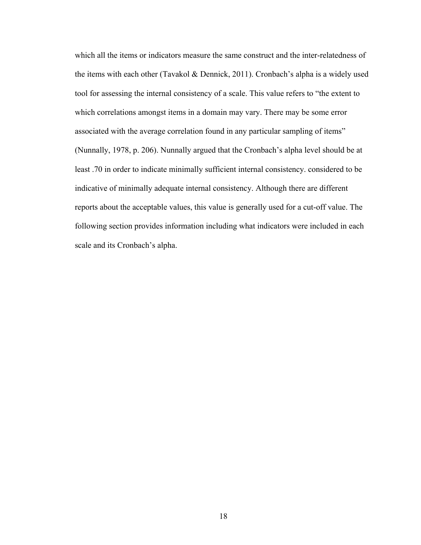which all the items or indicators measure the same construct and the inter-relatedness of the items with each other (Tavakol & Dennick, 2011). Cronbach's alpha is a widely used tool for assessing the internal consistency of a scale. This value refers to "the extent to which correlations amongst items in a domain may vary. There may be some error associated with the average correlation found in any particular sampling of items" (Nunnally, 1978, p. 206). Nunnally argued that the Cronbach's alpha level should be at least .70 in order to indicate minimally sufficient internal consistency. considered to be indicative of minimally adequate internal consistency. Although there are different reports about the acceptable values, this value is generally used for a cut-off value. The following section provides information including what indicators were included in each scale and its Cronbach's alpha.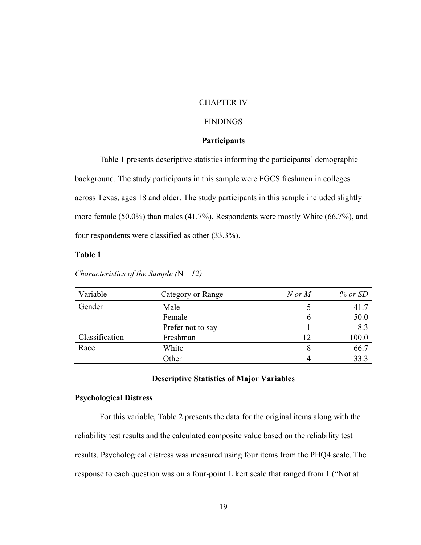### CHAPTER IV

### FINDINGS

### **Participants**

Table 1 presents descriptive statistics informing the participants' demographic background. The study participants in this sample were FGCS freshmen in colleges across Texas, ages 18 and older. The study participants in this sample included slightly more female (50.0%) than males (41.7%). Respondents were mostly White (66.7%), and four respondents were classified as other (33.3%).

### **Table 1**

*Characteristics of the Sample (*N *=12)*

| Variable       | Category or Range | $N$ or $M$ | $%$ or SD |
|----------------|-------------------|------------|-----------|
| Gender         | Male              |            | 41.7      |
|                | Female            |            | 50.0      |
|                | Prefer not to say |            | 8.3       |
| Classification | Freshman          | 12         | 100.0     |
| Race           | White             |            | 66.7      |
|                | Other             |            | 33.3      |

### **Descriptive Statistics of Major Variables**

#### **Psychological Distress**

For this variable, Table 2 presents the data for the original items along with the reliability test results and the calculated composite value based on the reliability test results. Psychological distress was measured using four items from the PHQ4 scale. The response to each question was on a four-point Likert scale that ranged from 1 ("Not at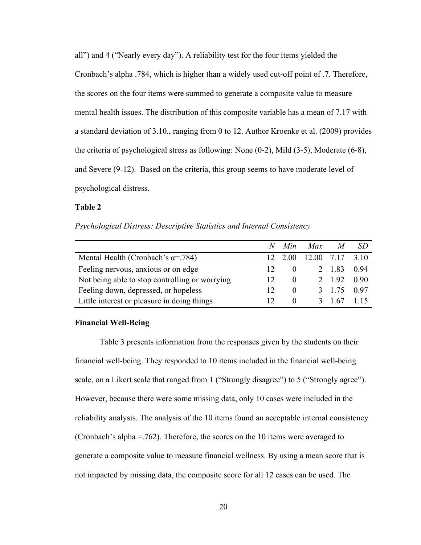all") and 4 ("Nearly every day"). A reliability test for the four items yielded the Cronbach's alpha .784, which is higher than a widely used cut-off point of .7. Therefore, the scores on the four items were summed to generate a composite value to measure mental health issues. The distribution of this composite variable has a mean of 7.17 with a standard deviation of 3.10., ranging from 0 to 12. Author Kroenke et al. (2009) provides the criteria of psychological stress as following: None (0-2), Mild (3-5), Moderate (6-8), and Severe (9-12). Based on the criteria, this group seems to have moderate level of psychological distress.

#### **Table 2**

*Psychological Distress: Descriptive Statistics and Internal Consistency*

|                                                | $\mathcal{N}$ | Min          | Max           |        |      |
|------------------------------------------------|---------------|--------------|---------------|--------|------|
| Mental Health (Cronbach's $\alpha$ =.784)      |               | 12 2.00      | 12.00 7.17    |        | 3.10 |
| Feeling nervous, anxious or on edge            |               |              |               | 2 1.83 | 0.94 |
| Not being able to stop controlling or worrying |               | $\theta$     |               | 2 1.92 | 0.90 |
| Feeling down, depressed, or hopeless           |               | $\theta$     |               | 3 1.75 | 0.97 |
| Little interest or pleasure in doing things    |               | $\mathbf{0}$ | $\mathcal{R}$ | l 67   |      |

#### **Financial Well-Being**

Table 3 presents information from the responses given by the students on their financial well-being. They responded to 10 items included in the financial well-being scale, on a Likert scale that ranged from 1 ("Strongly disagree") to 5 ("Strongly agree"). However, because there were some missing data, only 10 cases were included in the reliability analysis. The analysis of the 10 items found an acceptable internal consistency (Cronbach's alpha =.762). Therefore, the scores on the 10 items were averaged to generate a composite value to measure financial wellness. By using a mean score that is not impacted by missing data, the composite score for all 12 cases can be used. The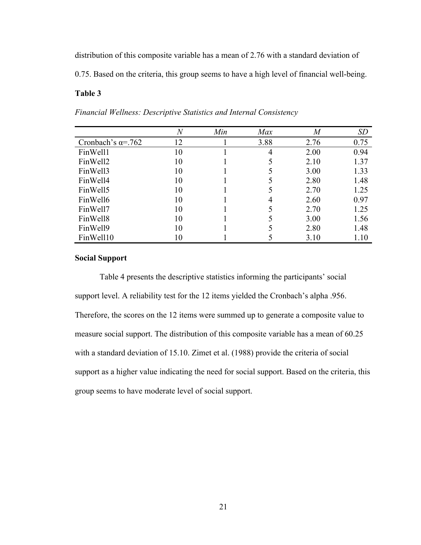distribution of this composite variable has a mean of 2.76 with a standard deviation of

0.75. Based on the criteria, this group seems to have a high level of financial well-being.

## **Table 3**

| Financial Wellness: Descriptive Statistics and Internal Consistency |  |  |
|---------------------------------------------------------------------|--|--|
|                                                                     |  |  |

|                            | $\overline{N}$ | Min | Max  | $\it{M}$ | <i>SD</i> |
|----------------------------|----------------|-----|------|----------|-----------|
| Cronbach's $\alpha = .762$ | 12             |     | 3.88 | 2.76     | 0.75      |
| FinWell1                   | 10             |     |      | 2.00     | 0.94      |
| FinWell2                   | 10             |     |      | 2.10     | 1.37      |
| FinWell3                   | 10             |     |      | 3.00     | 1.33      |
| FinWell4                   | 10             |     |      | 2.80     | 1.48      |
| FinWell5                   | 10             |     |      | 2.70     | 1.25      |
| FinWell6                   | 10             |     |      | 2.60     | 0.97      |
| FinWell7                   | 10             |     |      | 2.70     | 1.25      |
| FinWell <sub>8</sub>       | 10             |     |      | 3.00     | 1.56      |
| FinWell9                   | 10             |     |      | 2.80     | 1.48      |
| FinWell10                  | 10             |     |      | 3.10     | 1.10      |

### **Social Support**

Table 4 presents the descriptive statistics informing the participants' social support level. A reliability test for the 12 items yielded the Cronbach's alpha .956. Therefore, the scores on the 12 items were summed up to generate a composite value to measure social support. The distribution of this composite variable has a mean of 60.25 with a standard deviation of 15.10. Zimet et al. (1988) provide the criteria of social support as a higher value indicating the need for social support. Based on the criteria, this group seems to have moderate level of social support.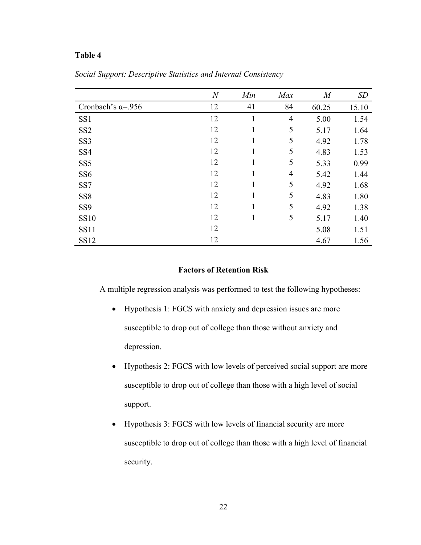### **Table 4**

|                             | $\overline{N}$ | Min          | Max            | M     | SD    |
|-----------------------------|----------------|--------------|----------------|-------|-------|
| Cronbach's $\alpha = 0.956$ | 12             | 41           | 84             | 60.25 | 15.10 |
| SS1                         | 12             | $\mathbf{1}$ | $\overline{4}$ | 5.00  | 1.54  |
| SS <sub>2</sub>             | 12             | 1            | 5              | 5.17  | 1.64  |
| SS <sub>3</sub>             | 12             | 1            | 5              | 4.92  | 1.78  |
| SS <sub>4</sub>             | 12             | 1            | 5              | 4.83  | 1.53  |
| SS <sub>5</sub>             | 12             |              | 5              | 5.33  | 0.99  |
| SS <sub>6</sub>             | 12             | 1            | $\overline{4}$ | 5.42  | 1.44  |
| SS7                         | 12             | 1            | 5              | 4.92  | 1.68  |
| SS <sub>8</sub>             | 12             | 1            | 5              | 4.83  | 1.80  |
| SS9                         | 12             | 1            | 5              | 4.92  | 1.38  |
| <b>SS10</b>                 | 12             | 1            | 5              | 5.17  | 1.40  |
| <b>SS11</b>                 | 12             |              |                | 5.08  | 1.51  |
| <b>SS12</b>                 | 12             |              |                | 4.67  | 1.56  |

*Social Support: Descriptive Statistics and Internal Consistency*

### **Factors of Retention Risk**

A multiple regression analysis was performed to test the following hypotheses:

- Hypothesis 1: FGCS with anxiety and depression issues are more susceptible to drop out of college than those without anxiety and depression.
- Hypothesis 2: FGCS with low levels of perceived social support are more susceptible to drop out of college than those with a high level of social support.
- Hypothesis 3: FGCS with low levels of financial security are more susceptible to drop out of college than those with a high level of financial security.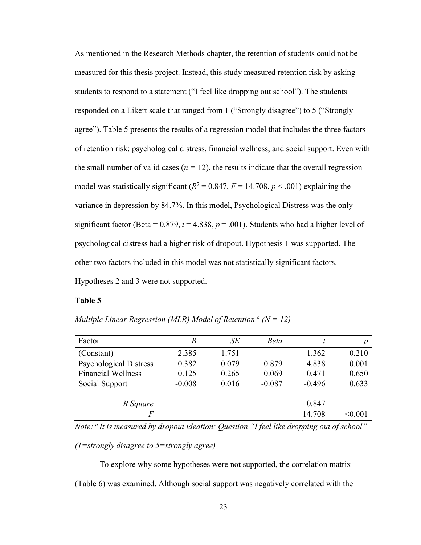As mentioned in the Research Methods chapter, the retention of students could not be measured for this thesis project. Instead, this study measured retention risk by asking students to respond to a statement ("I feel like dropping out school"). The students responded on a Likert scale that ranged from 1 ("Strongly disagree") to 5 ("Strongly agree"). Table 5 presents the results of a regression model that includes the three factors of retention risk: psychological distress, financial wellness, and social support. Even with the small number of valid cases  $(n = 12)$ , the results indicate that the overall regression model was statistically significant ( $R^2 = 0.847$ ,  $F = 14.708$ ,  $p < .001$ ) explaining the variance in depression by 84.7%. In this model, Psychological Distress was the only significant factor (Beta =  $0.879$ ,  $t = 4.838$ ,  $p = .001$ ). Students who had a higher level of psychological distress had a higher risk of dropout. Hypothesis 1 was supported. The other two factors included in this model was not statistically significant factors. Hypotheses 2 and 3 were not supported.

### **Table 5**

| Multiple Linear Regression (MLR) Model of Retention $\alpha$ (N = 12) |
|-----------------------------------------------------------------------|
|-----------------------------------------------------------------------|

| Factor                        | B        | SE    | <b>Beta</b> |          | р              |
|-------------------------------|----------|-------|-------------|----------|----------------|
| (Constant)                    | 2.385    | 1.751 |             | 1.362    | 0.210          |
| <b>Psychological Distress</b> | 0.382    | 0.079 | 0.879       | 4.838    | 0.001          |
| <b>Financial Wellness</b>     | 0.125    | 0.265 | 0.069       | 0.471    | 0.650          |
| Social Support                | $-0.008$ | 0.016 | $-0.087$    | $-0.496$ | 0.633          |
|                               |          |       |             |          |                |
| R Square                      |          |       |             | 0.847    |                |
| F                             |          |       |             | 14.708   | $<$ 0.001 $\,$ |

*Note: a It is measured by dropout ideation: Question "I feel like dropping out of school"* 

*(1=strongly disagree to 5=strongly agree)* 

To explore why some hypotheses were not supported, the correlation matrix (Table 6) was examined. Although social support was negatively correlated with the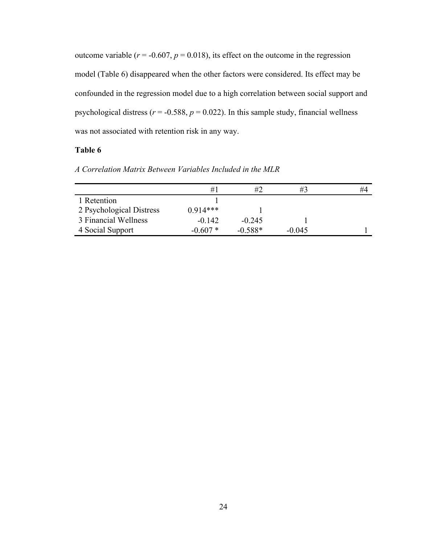outcome variable  $(r = -0.607, p = 0.018)$ , its effect on the outcome in the regression model (Table 6) disappeared when the other factors were considered. Its effect may be confounded in the regression model due to a high correlation between social support and psychological distress ( $r = -0.588$ ,  $p = 0.022$ ). In this sample study, financial wellness was not associated with retention risk in any way.

### **Table 6**

|                          | #1         | #2        | #3       | #4 |
|--------------------------|------------|-----------|----------|----|
| 1 Retention              |            |           |          |    |
| 2 Psychological Distress | $0.914***$ |           |          |    |
| 3 Financial Wellness     | $-0.142$   | $-0.245$  |          |    |
| 4 Social Support         | $-0.607*$  | $-0.588*$ | $-0.045$ |    |
|                          |            |           |          |    |

*A Correlation Matrix Between Variables Included in the MLR*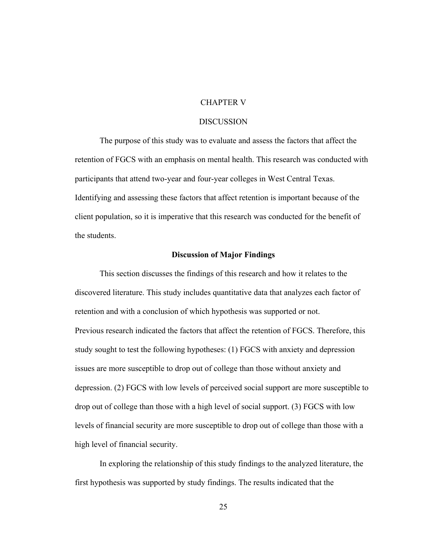### CHAPTER V

### **DISCUSSION**

The purpose of this study was to evaluate and assess the factors that affect the retention of FGCS with an emphasis on mental health. This research was conducted with participants that attend two-year and four-year colleges in West Central Texas. Identifying and assessing these factors that affect retention is important because of the client population, so it is imperative that this research was conducted for the benefit of the students.

#### **Discussion of Major Findings**

This section discusses the findings of this research and how it relates to the discovered literature. This study includes quantitative data that analyzes each factor of retention and with a conclusion of which hypothesis was supported or not. Previous research indicated the factors that affect the retention of FGCS. Therefore, this study sought to test the following hypotheses: (1) FGCS with anxiety and depression issues are more susceptible to drop out of college than those without anxiety and depression. (2) FGCS with low levels of perceived social support are more susceptible to drop out of college than those with a high level of social support. (3) FGCS with low levels of financial security are more susceptible to drop out of college than those with a high level of financial security.

In exploring the relationship of this study findings to the analyzed literature, the first hypothesis was supported by study findings. The results indicated that the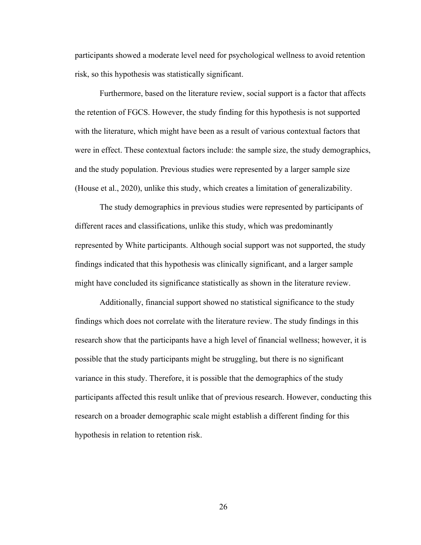participants showed a moderate level need for psychological wellness to avoid retention risk, so this hypothesis was statistically significant.

Furthermore, based on the literature review, social support is a factor that affects the retention of FGCS. However, the study finding for this hypothesis is not supported with the literature, which might have been as a result of various contextual factors that were in effect. These contextual factors include: the sample size, the study demographics, and the study population. Previous studies were represented by a larger sample size (House et al., 2020), unlike this study, which creates a limitation of generalizability.

The study demographics in previous studies were represented by participants of different races and classifications, unlike this study, which was predominantly represented by White participants. Although social support was not supported, the study findings indicated that this hypothesis was clinically significant, and a larger sample might have concluded its significance statistically as shown in the literature review.

Additionally, financial support showed no statistical significance to the study findings which does not correlate with the literature review. The study findings in this research show that the participants have a high level of financial wellness; however, it is possible that the study participants might be struggling, but there is no significant variance in this study. Therefore, it is possible that the demographics of the study participants affected this result unlike that of previous research. However, conducting this research on a broader demographic scale might establish a different finding for this hypothesis in relation to retention risk.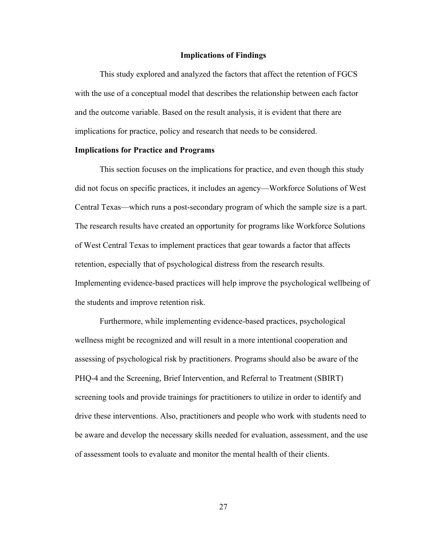#### **Implications of Findings**

This study explored and analyzed the factors that affect the retention of FGCS with the use of a conceptual model that describes the relationship between each factor and the outcome variable. Based on the result analysis, it is evident that there are implications for practice, policy and research that needs to be considered.

#### **Implications for Practice and Programs**

This section focuses on the implications for practice, and even though this study did not focus on specific practices, it includes an agency—Workforce Solutions of West Central Texas—which runs a post-secondary program of which the sample size is a part. The research results have created an opportunity for programs like Workforce Solutions of West Central Texas to implement practices that gear towards a factor that affects retention, especially that of psychological distress from the research results. Implementing evidence-based practices will help improve the psychological wellbeing of the students and improve retention risk.

Furthermore, while implementing evidence-based practices, psychological wellness might be recognized and will result in a more intentional cooperation and assessing of psychological risk by practitioners. Programs should also be aware of the PHQ-4 and the Screening, Brief Intervention, and Referral to Treatment (SBIRT) screening tools and provide trainings for practitioners to utilize in order to identify and drive these interventions. Also, practitioners and people who work with students need to be aware and develop the necessary skills needed for evaluation, assessment, and the use of assessment tools to evaluate and monitor the mental health of their clients.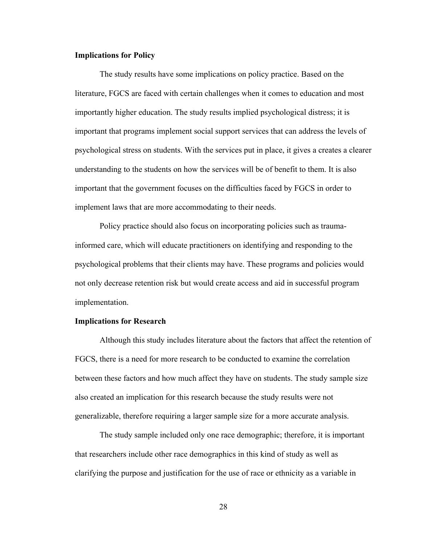#### **Implications for Policy**

The study results have some implications on policy practice. Based on the literature, FGCS are faced with certain challenges when it comes to education and most importantly higher education. The study results implied psychological distress; it is important that programs implement social support services that can address the levels of psychological stress on students. With the services put in place, it gives a creates a clearer understanding to the students on how the services will be of benefit to them. It is also important that the government focuses on the difficulties faced by FGCS in order to implement laws that are more accommodating to their needs.

Policy practice should also focus on incorporating policies such as traumainformed care, which will educate practitioners on identifying and responding to the psychological problems that their clients may have. These programs and policies would not only decrease retention risk but would create access and aid in successful program implementation.

#### **Implications for Research**

Although this study includes literature about the factors that affect the retention of FGCS, there is a need for more research to be conducted to examine the correlation between these factors and how much affect they have on students. The study sample size also created an implication for this research because the study results were not generalizable, therefore requiring a larger sample size for a more accurate analysis.

The study sample included only one race demographic; therefore, it is important that researchers include other race demographics in this kind of study as well as clarifying the purpose and justification for the use of race or ethnicity as a variable in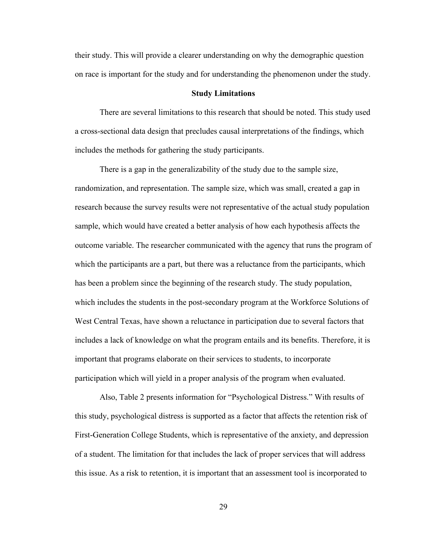their study. This will provide a clearer understanding on why the demographic question on race is important for the study and for understanding the phenomenon under the study.

#### **Study Limitations**

There are several limitations to this research that should be noted. This study used a cross-sectional data design that precludes causal interpretations of the findings, which includes the methods for gathering the study participants.

There is a gap in the generalizability of the study due to the sample size, randomization, and representation. The sample size, which was small, created a gap in research because the survey results were not representative of the actual study population sample, which would have created a better analysis of how each hypothesis affects the outcome variable. The researcher communicated with the agency that runs the program of which the participants are a part, but there was a reluctance from the participants, which has been a problem since the beginning of the research study. The study population, which includes the students in the post-secondary program at the Workforce Solutions of West Central Texas, have shown a reluctance in participation due to several factors that includes a lack of knowledge on what the program entails and its benefits. Therefore, it is important that programs elaborate on their services to students, to incorporate participation which will yield in a proper analysis of the program when evaluated.

Also, Table 2 presents information for "Psychological Distress." With results of this study, psychological distress is supported as a factor that affects the retention risk of First-Generation College Students, which is representative of the anxiety, and depression of a student. The limitation for that includes the lack of proper services that will address this issue. As a risk to retention, it is important that an assessment tool is incorporated to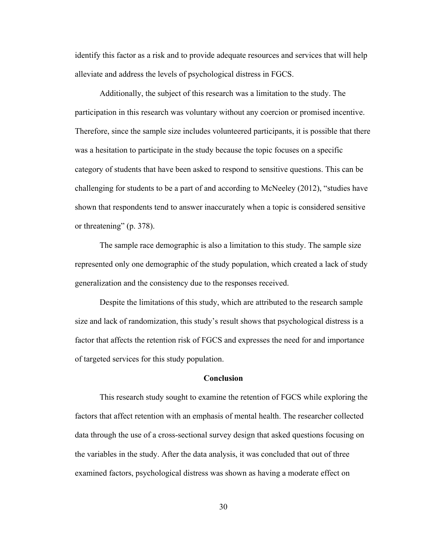identify this factor as a risk and to provide adequate resources and services that will help alleviate and address the levels of psychological distress in FGCS.

Additionally, the subject of this research was a limitation to the study. The participation in this research was voluntary without any coercion or promised incentive. Therefore, since the sample size includes volunteered participants, it is possible that there was a hesitation to participate in the study because the topic focuses on a specific category of students that have been asked to respond to sensitive questions. This can be challenging for students to be a part of and according to McNeeley (2012), "studies have shown that respondents tend to answer inaccurately when a topic is considered sensitive or threatening" (p. 378).

The sample race demographic is also a limitation to this study. The sample size represented only one demographic of the study population, which created a lack of study generalization and the consistency due to the responses received.

Despite the limitations of this study, which are attributed to the research sample size and lack of randomization, this study's result shows that psychological distress is a factor that affects the retention risk of FGCS and expresses the need for and importance of targeted services for this study population.

#### **Conclusion**

This research study sought to examine the retention of FGCS while exploring the factors that affect retention with an emphasis of mental health. The researcher collected data through the use of a cross-sectional survey design that asked questions focusing on the variables in the study. After the data analysis, it was concluded that out of three examined factors, psychological distress was shown as having a moderate effect on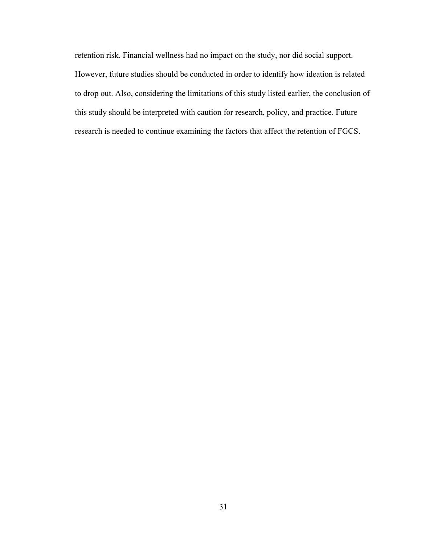retention risk. Financial wellness had no impact on the study, nor did social support. However, future studies should be conducted in order to identify how ideation is related to drop out. Also, considering the limitations of this study listed earlier, the conclusion of this study should be interpreted with caution for research, policy, and practice. Future research is needed to continue examining the factors that affect the retention of FGCS.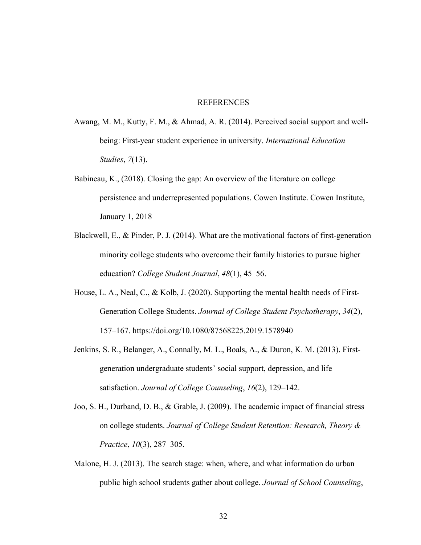### **REFERENCES**

- Awang, M. M., Kutty, F. M., & Ahmad, A. R. (2014). Perceived social support and wellbeing: First-year student experience in university. *International Education Studies*, *7*(13).
- Babineau, K., (2018). Closing the gap: An overview of the literature on college persistence and underrepresented populations. Cowen Institute. Cowen Institute, January 1, 2018
- Blackwell, E., & Pinder, P. J. (2014). What are the motivational factors of first-generation minority college students who overcome their family histories to pursue higher education? *College Student Journal*, *48*(1), 45–56.
- House, L. A., Neal, C., & Kolb, J. (2020). Supporting the mental health needs of First-Generation College Students. *Journal of College Student Psychotherapy*, *34*(2), 157–167. https://doi.org/10.1080/87568225.2019.1578940
- Jenkins, S. R., Belanger, A., Connally, M. L., Boals, A., & Duron, K. M. (2013). Firstgeneration undergraduate students' social support, depression, and life satisfaction. *Journal of College Counseling*, *16*(2), 129–142.
- Joo, S. H., Durband, D. B., & Grable, J. (2009). The academic impact of financial stress on college students. *Journal of College Student Retention: Research, Theory & Practice*, *10*(3), 287–305.
- Malone, H. J. (2013). The search stage: when, where, and what information do urban public high school students gather about college. *Journal of School Counseling*,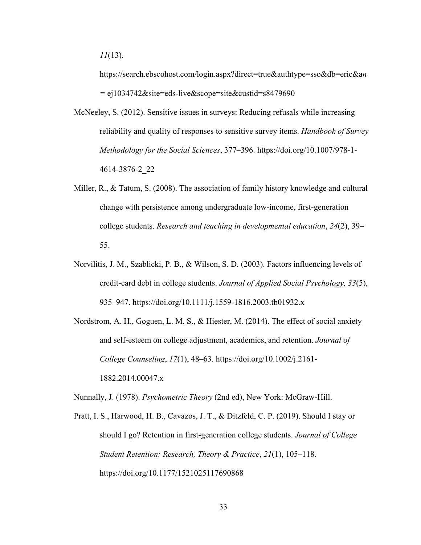https://search.ebscohost.com/login.aspx?direct=true&authtype=sso&db=eric&a*n =* ej1034742&site=eds-live&scope=site&custid=s8479690

- McNeeley, S. (2012). Sensitive issues in surveys: Reducing refusals while increasing reliability and quality of responses to sensitive survey items. *Handbook of Survey Methodology for the Social Sciences*, 377–396. https://doi.org/10.1007/978-1- 4614-3876-2\_22
- Miller, R., & Tatum, S. (2008). The association of family history knowledge and cultural change with persistence among undergraduate low-income, first-generation college students. *Research and teaching in developmental education*, *24*(2), 39– 55.
- Norvilitis, J. M., Szablicki, P. B., & Wilson, S. D. (2003). Factors influencing levels of credit-card debt in college students. *Journal of Applied Social Psychology, 33*(5), 935–947. https://doi.org/10.1111/j.1559-1816.2003.tb01932.x
- Nordstrom, A. H., Goguen, L. M. S., & Hiester, M. (2014). The effect of social anxiety and self-esteem on college adjustment, academics, and retention. *Journal of College Counseling*, *17*(1), 48–63. https://doi.org/10.1002/j.2161- 1882.2014.00047.x

Nunnally, J. (1978). *Psychometric Theory* (2nd ed), New York: McGraw-Hill.

Pratt, I. S., Harwood, H. B., Cavazos, J. T., & Ditzfeld, C. P. (2019). Should I stay or should I go? Retention in first-generation college students. *Journal of College Student Retention: Research, Theory & Practice*, *21*(1), 105–118. https://doi.org/10.1177/1521025117690868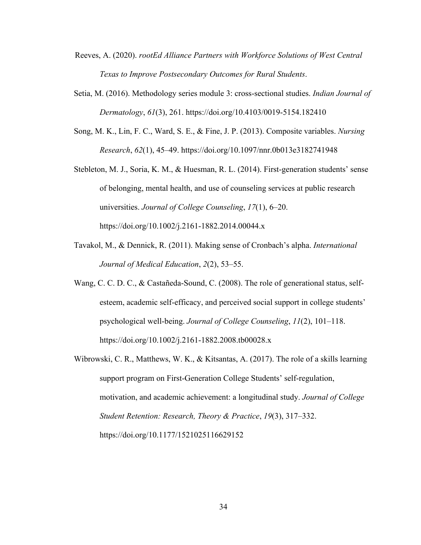- Reeves, A. (2020). *rootEd Alliance Partners with Workforce Solutions of West Central Texas to Improve Postsecondary Outcomes for Rural Students*.
- Setia, M. (2016). Methodology series module 3: cross-sectional studies. *Indian Journal of Dermatology*, *61*(3), 261. https://doi.org/10.4103/0019-5154.182410
- Song, M. K., Lin, F. C., Ward, S. E., & Fine, J. P. (2013). Composite variables. *Nursing Research*, *62*(1), 45–49. https://doi.org/10.1097/nnr.0b013e3182741948
- Stebleton, M. J., Soria, K. M., & Huesman, R. L. (2014). First-generation students' sense of belonging, mental health, and use of counseling services at public research universities. *Journal of College Counseling*, *17*(1), 6–20. https://doi.org/10.1002/j.2161-1882.2014.00044.x
- Tavakol, M., & Dennick, R. (2011). Making sense of Cronbach's alpha. *International Journal of Medical Education*, *2*(2), 53–55.
- Wang, C. C. D. C., & Castañeda-Sound, C. (2008). The role of generational status, selfesteem, academic self-efficacy, and perceived social support in college students' psychological well-being. *Journal of College Counseling*, *11*(2), 101–118. https://doi.org/10.1002/j.2161-1882.2008.tb00028.x
- Wibrowski, C. R., Matthews, W. K., & Kitsantas, A. (2017). The role of a skills learning support program on First-Generation College Students' self-regulation, motivation, and academic achievement: a longitudinal study. *Journal of College Student Retention: Research, Theory & Practice*, *19*(3), 317–332. https://doi.org/10.1177/1521025116629152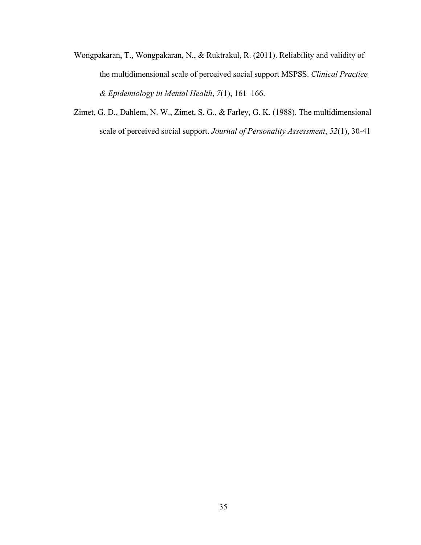- Wongpakaran, T., Wongpakaran, N., & Ruktrakul, R. (2011). Reliability and validity of the multidimensional scale of perceived social support MSPSS. *Clinical Practice & Epidemiology in Mental Health*, *7*(1), 161–166.
- Zimet, G. D., Dahlem, N. W., Zimet, S. G., & Farley, G. K. (1988). The multidimensional scale of perceived social support. *Journal of Personality Assessment*, *52*(1), 30-41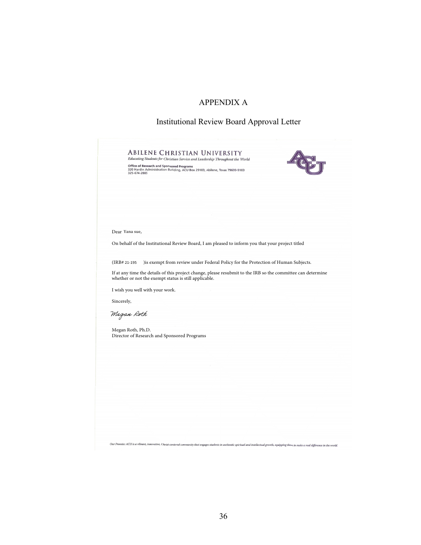# APPENDIX A

### Institutional Review Board Approval Letter